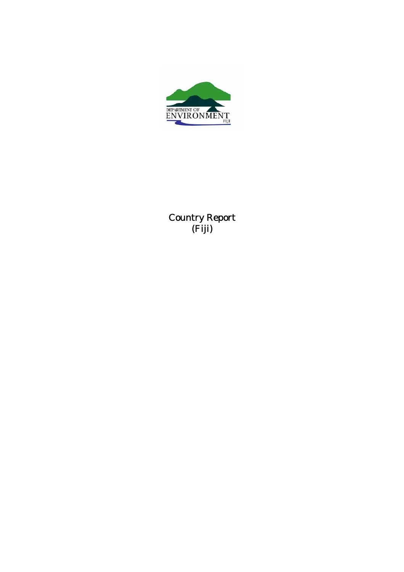

Country Report (Fiji)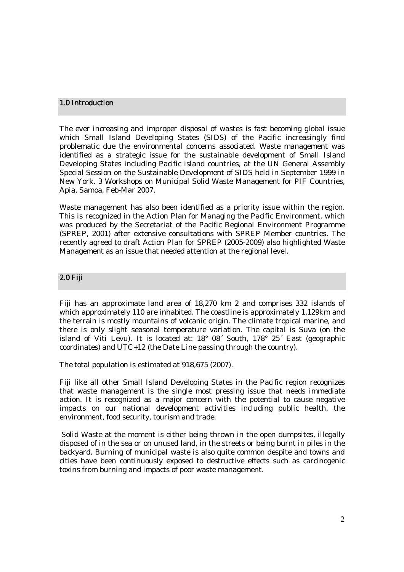### 1.0 Introduction

The ever increasing and improper disposal of wastes is fast becoming global issue which Small Island Developing States (SIDS) of the Pacific increasingly find problematic due the environmental concerns associated. Waste management was identified as a strategic issue for the sustainable development of Small Island Developing States including Pacific island countries, at the UN General Assembly Special Session on the Sustainable Development of SIDS held in September 1999 in New York. 3 Workshops on Municipal Solid Waste Management for PIF Countries, Apia, Samoa, Feb-Mar 2007.

Waste management has also been identified as a priority issue within the region. This is recognized in the Action Plan for Managing the Pacific Environment, which was produced by the Secretariat of the Pacific Regional Environment Programme (SPREP, 2001) after extensive consultations with SPREP Member countries. The recently agreed to draft Action Plan for SPREP (2005-2009) also highlighted Waste Management as an issue that needed attention at the regional level.

### 2.0 Fiji

Fiji has an approximate land area of 18,270 km 2 and comprises 332 islands of which approximately 110 are inhabited. The coastline is approximately 1,129km and the terrain is mostly mountains of volcanic origin. The climate tropical marine, and there is only slight seasonal temperature variation. The capital is Suva (on the island of Viti Levu). It is located at: 18° 08´ South, 178° 25´ East (geographic coordinates) and UTC+12 (the Date Line passing through the country).

The total population is estimated at 918,675 (2007).

Fiji like all other Small Island Developing States in the Pacific region recognizes that waste management is the single most pressing issue that needs immediate action. It is recognized as a major concern with the potential to cause negative impacts on our national development activities including public health, the environment, food security, tourism and trade.

 Solid Waste at the moment is either being thrown in the open dumpsites, illegally disposed of in the sea or on unused land, in the streets or being burnt in piles in the backyard. Burning of municipal waste is also quite common despite and towns and cities have been continuously exposed to destructive effects such as carcinogenic toxins from burning and impacts of poor waste management.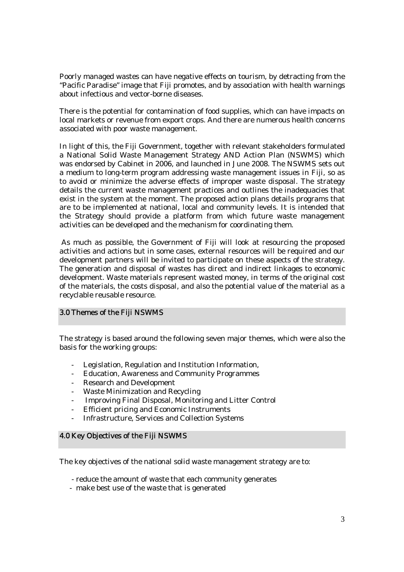Poorly managed wastes can have negative effects on tourism, by detracting from the "Pacific Paradise" image that Fiji promotes, and by association with health warnings about infectious and vector-borne diseases.

There is the potential for contamination of food supplies, which can have impacts on local markets or revenue from export crops. And there are numerous health concerns associated with poor waste management.

In light of this, the Fiji Government, together with relevant stakeholders formulated a National Solid Waste Management Strategy AND Action Plan (NSWMS) which was endorsed by Cabinet in 2006, and launched in June 2008. The NSWMS sets out a medium to long-term program addressing waste management issues in Fiji, so as to avoid or minimize the adverse effects of improper waste disposal. The strategy details the current waste management practices and outlines the inadequacies that exist in the system at the moment. The proposed action plans details programs that are to be implemented at national, local and community levels. It is intended that the Strategy should provide a platform from which future waste management activities can be developed and the mechanism for coordinating them.

 As much as possible, the Government of Fiji will look at resourcing the proposed activities and actions but in some cases, external resources will be required and our development partners will be invited to participate on these aspects of the strategy. The generation and disposal of wastes has direct and indirect linkages to economic development. Waste materials represent wasted money, in terms of the original cost of the materials, the costs disposal, and also the potential value of the material as a recyclable reusable resource.

#### 3.0 Themes of the Fiji NSWMS

The strategy is based around the following seven major themes, which were also the basis for the working groups:

- Legislation, Regulation and Institution Information,
- Education, Awareness and Community Programmes
- Research and Development
- Waste Minimization and Recycling
- Improving Final Disposal, Monitoring and Litter Control
- Efficient pricing and Economic Instruments
- Infrastructure, Services and Collection Systems

## 4.0 Key Objectives of the Fiji NSWMS

The key objectives of the national solid waste management strategy are to:

- reduce the amount of waste that each community generates
- make best use of the waste that is generated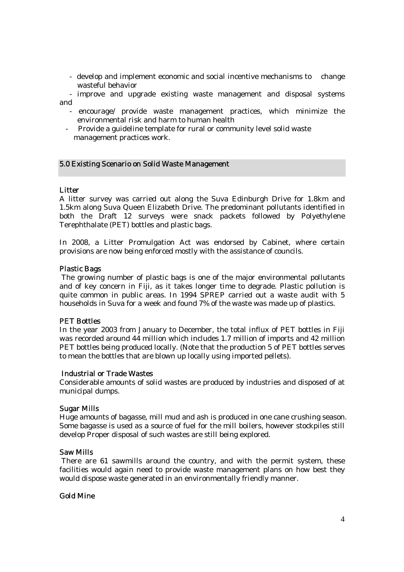- develop and implement economic and social incentive mechanisms to change wasteful behavior
- improve and upgrade existing waste management and disposal systems and
	- encourage/ provide waste management practices, which minimize the environmental risk and harm to human health
	- Provide a guideline template for rural or community level solid waste management practices work.

### 5.0 Existing Scenario on Solid Waste Management

### **Litter**

A litter survey was carried out along the Suva Edinburgh Drive for 1.8km and 1.5km along Suva Queen Elizabeth Drive. The predominant pollutants identified in both the Draft 12 surveys were snack packets followed by Polyethylene Terephthalate (PET) bottles and plastic bags.

In 2008, a Litter Promulgation Act was endorsed by Cabinet, where certain provisions are now being enforced mostly with the assistance of councils.

### Plastic Bags

 The growing number of plastic bags is one of the major environmental pollutants and of key concern in Fiji, as it takes longer time to degrade. Plastic pollution is quite common in public areas. In 1994 SPREP carried out a waste audit with 5 households in Suva for a week and found 7% of the waste was made up of plastics.

#### PET Bottles

In the year 2003 from January to December, the total influx of PET bottles in Fiji was recorded around 44 million which includes 1.7 million of imports and 42 million PET bottles being produced locally. (Note that the production 5 of PET bottles serves to mean the bottles that are blown up locally using imported pellets).

#### Industrial or Trade Wastes

Considerable amounts of solid wastes are produced by industries and disposed of at municipal dumps.

#### Sugar Mills

Huge amounts of bagasse, mill mud and ash is produced in one cane crushing season. Some bagasse is used as a source of fuel for the mill boilers, however stockpiles still develop Proper disposal of such wastes are still being explored.

#### Saw Mills

 There are 61 sawmills around the country, and with the permit system, these facilities would again need to provide waste management plans on how best they would dispose waste generated in an environmentally friendly manner.

## Gold Mine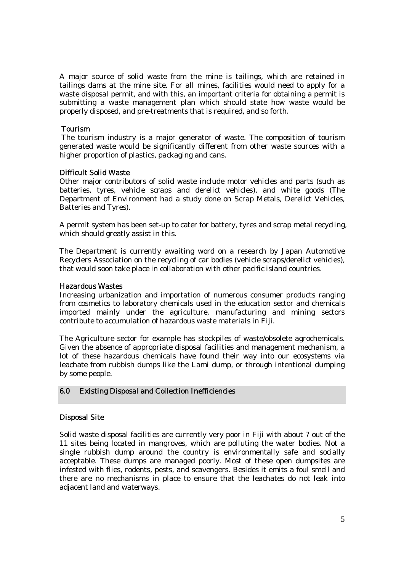A major source of solid waste from the mine is tailings, which are retained in tailings dams at the mine site. For all mines, facilities would need to apply for a waste disposal permit, and with this, an important criteria for obtaining a permit is submitting a waste management plan which should state how waste would be properly disposed, and pre-treatments that is required, and so forth.

### Tourism

 The tourism industry is a major generator of waste. The composition of tourism generated waste would be significantly different from other waste sources with a higher proportion of plastics, packaging and cans.

### Difficult Solid Waste

Other major contributors of solid waste include motor vehicles and parts (such as batteries, tyres, vehicle scraps and derelict vehicles), and white goods (The Department of Environment had a study done on Scrap Metals, Derelict Vehicles, Batteries and Tyres).

A permit system has been set-up to cater for battery, tyres and scrap metal recycling, which should greatly assist in this.

The Department is currently awaiting word on a research by Japan Automotive Recyclers Association on the recycling of car bodies (vehicle scraps/derelict vehicles), that would soon take place in collaboration with other pacific island countries.

### Hazardous Wastes

Increasing urbanization and importation of numerous consumer products ranging from cosmetics to laboratory chemicals used in the education sector and chemicals imported mainly under the agriculture, manufacturing and mining sectors contribute to accumulation of hazardous waste materials in Fiji.

The Agriculture sector for example has stockpiles of waste/obsolete agrochemicals. Given the absence of appropriate disposal facilities and management mechanism, a lot of these hazardous chemicals have found their way into our ecosystems via leachate from rubbish dumps like the Lami dump, or through intentional dumping by some people.

## 6.0 Existing Disposal and Collection Inefficiencies

#### Disposal Site

Solid waste disposal facilities are currently very poor in Fiji with about 7 out of the 11 sites being located in mangroves, which are polluting the water bodies. Not a single rubbish dump around the country is environmentally safe and socially acceptable. These dumps are managed poorly. Most of these open dumpsites are infested with flies, rodents, pests, and scavengers. Besides it emits a foul smell and there are no mechanisms in place to ensure that the leachates do not leak into adjacent land and waterways.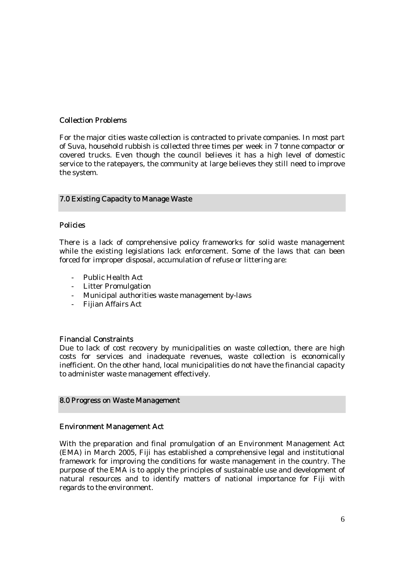## Collection Problems

For the major cities waste collection is contracted to private companies. In most part of Suva, household rubbish is collected three times per week in 7 tonne compactor or covered trucks. Even though the council believes it has a high level of domestic service to the ratepayers, the community at large believes they still need to improve the system.

### 7.0 Existing Capacity to Manage Waste

### Policies

There is a lack of comprehensive policy frameworks for solid waste management while the existing legislations lack enforcement. Some of the laws that can been forced for improper disposal, accumulation of refuse or littering are:

- Public Health Act
- Litter Promulgation
- Municipal authorities waste management by-laws
- Fijian Affairs Act

#### Financial Constraints

Due to lack of cost recovery by municipalities on waste collection, there are high costs for services and inadequate revenues, waste collection is economically inefficient. On the other hand, local municipalities do not have the financial capacity to administer waste management effectively.

#### 8.0 Progress on Waste Management

#### Environment Management Act

With the preparation and final promulgation of an Environment Management Act (EMA) in March 2005, Fiji has established a comprehensive legal and institutional framework for improving the conditions for waste management in the country. The purpose of the EMA is to apply the principles of sustainable use and development of natural resources and to identify matters of national importance for Fiji with regards to the environment.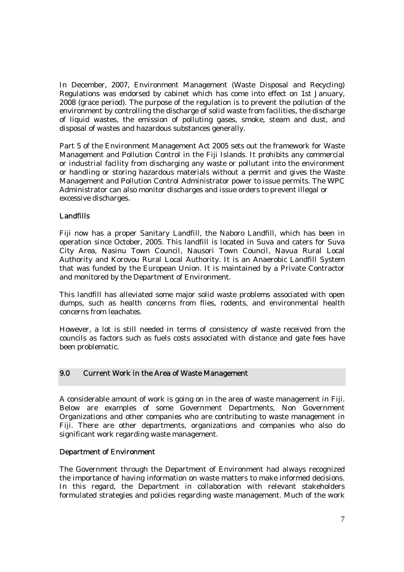In December, 2007, Environment Management (Waste Disposal and Recycling) Regulations was endorsed by cabinet which has come into effect on 1st January, 2008 (grace period). The purpose of the regulation is to prevent the pollution of the environment by controlling the discharge of solid waste from facilities, the discharge of liquid wastes, the emission of polluting gases, smoke, steam and dust, and disposal of wastes and hazardous substances generally.

Part 5 of the Environment Management Act 2005 sets out the framework for Waste Management and Pollution Control in the Fiji Islands. It prohibits any commercial or industrial facility from discharging any waste or pollutant into the environment or handling or storing hazardous materials without a permit and gives the Waste Management and Pollution Control Administrator power to issue permits. The WPC Administrator can also monitor discharges and issue orders to prevent illegal or excessive discharges.

## Landfills

Fiji now has a proper Sanitary Landfill, the Naboro Landfill, which has been in operation since October, 2005. This landfill is located in Suva and caters for Suva City Area, Nasinu Town Council, Nausori Town Council, Navua Rural Local Authority and Korovou Rural Local Authority. It is an Anaerobic Landfill System that was funded by the European Union. It is maintained by a Private Contractor and monitored by the Department of Environment.

This landfill has alleviated some major solid waste problems associated with open dumps, such as health concerns from flies, rodents, and environmental health concerns from leachates.

However, a lot is still needed in terms of consistency of waste received from the councils as factors such as fuels costs associated with distance and gate fees have been problematic.

## 9.0 Current Work in the Area of Waste Management

A considerable amount of work is going on in the area of waste management in Fiji. Below are examples of some Government Departments, Non Government Organizations and other companies who are contributing to waste management in Fiji. There are other departments, organizations and companies who also do significant work regarding waste management.

## Department of Environment

The Government through the Department of Environment had always recognized the importance of having information on waste matters to make informed decisions. In this regard, the Department in collaboration with relevant stakeholders formulated strategies and policies regarding waste management. Much of the work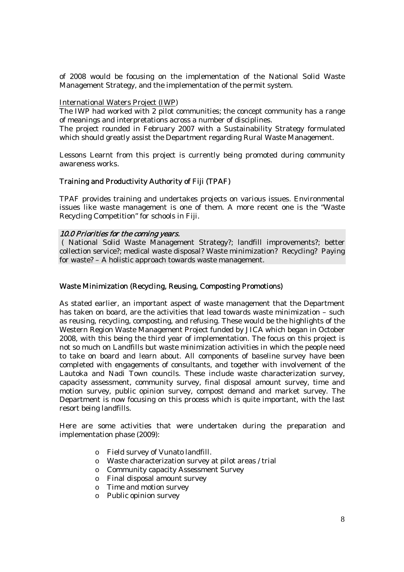of 2008 would be focusing on the implementation of the National Solid Waste Management Strategy, and the implementation of the permit system.

#### International Waters Project (IWP)

The IWP had worked with 2 pilot communities; the concept community has a range of meanings and interpretations across a number of disciplines.

The project rounded in February 2007 with a Sustainability Strategy formulated which should greatly assist the Department regarding Rural Waste Management.

Lessons Learnt from this project is currently being promoted during community awareness works.

### Training and Productivity Authority of Fiji (TPAF)

TPAF provides training and undertakes projects on various issues. Environmental issues like waste management is one of them. A more recent one is the "Waste Recycling Competition" for schools in Fiji.

#### 10.0 Priorities for the coming years.

 ( National Solid Waste Management Strategy?; landfill improvements?; better collection service?; medical waste disposal? Waste minimization? Recycling? Paying for waste? – A holistic approach towards waste management.

#### Waste Minimization (Recycling, Reusing, Composting Promotions)

As stated earlier, an important aspect of waste management that the Department has taken on board, are the activities that lead towards waste minimization – such as reusing, recycling, composting, and refusing. These would be the highlights of the Western Region Waste Management Project funded by JICA which began in October 2008, with this being the third year of implementation. The focus on this project is not so much on Landfills but waste minimization activities in which the people need to take on board and learn about. All components of baseline survey have been completed with engagements of consultants, and together with involvement of the Lautoka and Nadi Town councils. These include waste characterization survey. capacity assessment, community survey, final disposal amount survey, time and motion survey, public opinion survey, compost demand and market survey. The Department is now focusing on this process which is quite important, with the last resort being landfills.

Here are some activities that were undertaken during the preparation and implementation phase (2009):

- o Field survey of Vunato landfill.
- o Waste characterization survey at pilot areas / trial
- o Community capacity Assessment Survey
- o Final disposal amount survey
- o Time and motion survey
- o Public opinion survey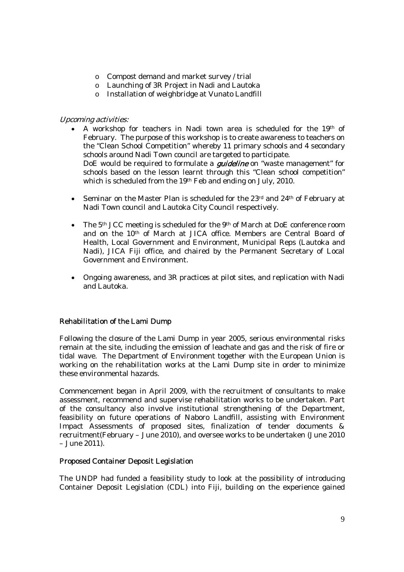- o Compost demand and market survey / trial
- o Launching of 3R Project in Nadi and Lautoka
- o Installation of weighbridge at Vunato Landfill

### Upcoming activities:

- A workshop for teachers in Nadi town area is scheduled for the 19th of February. The purpose of this workshop is to create awareness to teachers on the "Clean School Competition" whereby 11 primary schools and 4 secondary schools around Nadi Town council are targeted to participate. DoE would be required to formulate a *guideline* on "waste management" for schools based on the lesson learnt through this "Clean school competition" which is scheduled from the 19<sup>th</sup> Feb and ending on July, 2010.
- Seminar on the Master Plan is scheduled for the  $23<sup>rd</sup>$  and  $24<sup>th</sup>$  of February at Nadi Town council and Lautoka City Council respectively.
- The  $5<sup>th</sup>$  JCC meeting is scheduled for the  $9<sup>th</sup>$  of March at DoE conference room and on the 10th of March at JICA office. Members are Central Board of Health, Local Government and Environment, Municipal Reps (Lautoka and Nadi), JICA Fiji office, and chaired by the Permanent Secretary of Local Government and Environment.
- Ongoing awareness, and 3R practices at pilot sites, and replication with Nadi and Lautoka.

## Rehabilitation of the Lami Dump

Following the closure of the Lami Dump in year 2005, serious environmental risks remain at the site, including the emission of leachate and gas and the risk of fire or tidal wave. The Department of Environment together with the European Union is working on the rehabilitation works at the Lami Dump site in order to minimize these environmental hazards.

Commencement began in April 2009, with the recruitment of consultants to make assessment, recommend and supervise rehabilitation works to be undertaken. Part of the consultancy also involve institutional strengthening of the Department, feasibility on future operations of Naboro Landfill, assisting with Environment Impact Assessments of proposed sites, finalization of tender documents & recruitment(February – June 2010), and oversee works to be undertaken (June 2010 – June 2011).

#### Proposed Container Deposit Legislation

The UNDP had funded a feasibility study to look at the possibility of introducing Container Deposit Legislation (CDL) into Fiji, building on the experience gained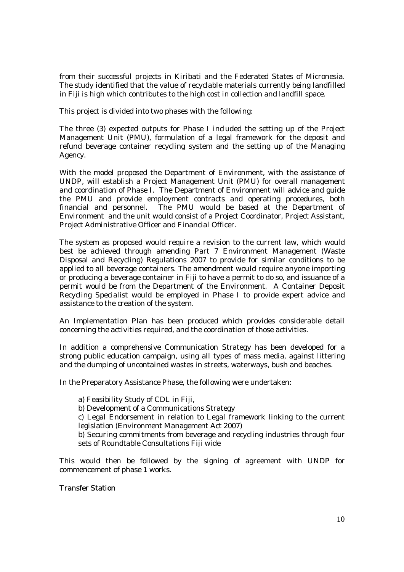from their successful projects in Kiribati and the Federated States of Micronesia. The study identified that the value of recyclable materials currently being landfilled in Fiji is high which contributes to the high cost in collection and landfill space.

This project is divided into two phases with the following:

The three (3) expected outputs for Phase I included the setting up of the Project Management Unit (PMU), formulation of a legal framework for the deposit and refund beverage container recycling system and the setting up of the Managing Agency.

With the model proposed the Department of Environment, with the assistance of UNDP, will establish a Project Management Unit (PMU) for overall management and coordination of Phase I. The Department of Environment will advice and guide the PMU and provide employment contracts and operating procedures, both financial and personnel. The PMU would be based at the Department of Environment and the unit would consist of a Project Coordinator, Project Assistant, Project Administrative Officer and Financial Officer.

The system as proposed would require a revision to the current law, which would best be achieved through amending Part 7 Environment Management (Waste Disposal and Recycling) Regulations 2007 to provide for similar conditions to be applied to all beverage containers. The amendment would require anyone importing or producing a beverage container in Fiji to have a permit to do so, and issuance of a permit would be from the Department of the Environment. A Container Deposit Recycling Specialist would be employed in Phase I to provide expert advice and assistance to the creation of the system.

An Implementation Plan has been produced which provides considerable detail concerning the activities required, and the coordination of those activities.

In addition a comprehensive Communication Strategy has been developed for a strong public education campaign, using all types of mass media, against littering and the dumping of uncontained wastes in streets, waterways, bush and beaches.

In the Preparatory Assistance Phase, the following were undertaken:

a) Feasibility Study of CDL in Fiji,

b) Development of a Communications Strategy

c) Legal Endorsement in relation to Legal framework linking to the current legislation (Environment Management Act 2007)

b) Securing commitments from beverage and recycling industries through four sets of Roundtable Consultations Fiji wide

This would then be followed by the signing of agreement with UNDP for commencement of phase 1 works.

### Transfer Station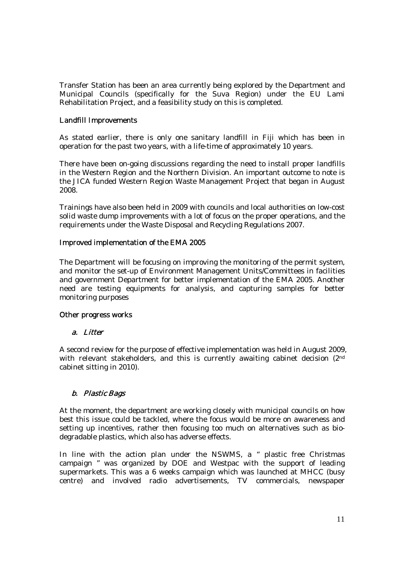Transfer Station has been an area currently being explored by the Department and Municipal Councils (specifically for the Suva Region) under the EU Lami Rehabilitation Project, and a feasibility study on this is completed.

## Landfill Improvements

As stated earlier, there is only one sanitary landfill in Fiji which has been in operation for the past two years, with a life-time of approximately 10 years.

There have been on-going discussions regarding the need to install proper landfills in the Western Region and the Northern Division. An important outcome to note is the JICA funded Western Region Waste Management Project that began in August 2008.

Trainings have also been held in 2009 with councils and local authorities on low-cost solid waste dump improvements with a lot of focus on the proper operations, and the requirements under the Waste Disposal and Recycling Regulations 2007.

# Improved implementation of the EMA 2005

The Department will be focusing on improving the monitoring of the permit system, and monitor the set-up of Environment Management Units/Committees in facilities and government Department for better implementation of the EMA 2005. Another need are testing equipments for analysis, and capturing samples for better monitoring purposes

## Other progress works

## a. Litter

A second review for the purpose of effective implementation was held in August 2009, with relevant stakeholders, and this is currently awaiting cabinet decision (2<sup>nd</sup>) cabinet sitting in 2010).

# b. Plastic Bags

At the moment, the department are working closely with municipal councils on how best this issue could be tackled, where the focus would be more on awareness and setting up incentives, rather then focusing too much on alternatives such as biodegradable plastics, which also has adverse effects.

In line with the action plan under the NSWMS, a " plastic free Christmas campaign " was organized by DOE and Westpac with the support of leading supermarkets. This was a 6 weeks campaign which was launched at MHCC (busy centre) and involved radio advertisements, TV commercials, newspaper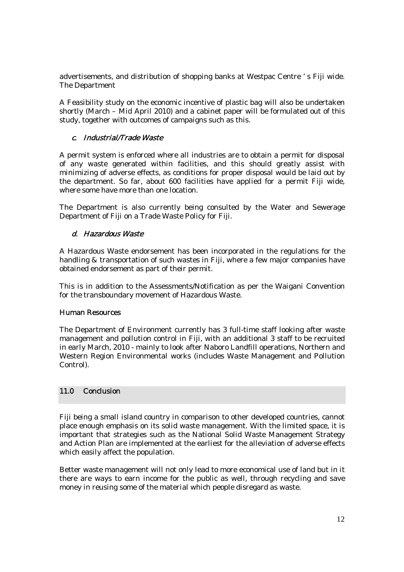advertisements, and distribution of shopping banks at Westpac Centre ' s Fiji wide. The Department

A Feasibility study on the economic incentive of plastic bag will also be undertaken shortly (March – Mid April 2010) and a cabinet paper will be formulated out of this study, together with outcomes of campaigns such as this.

# c. Industrial/Trade Waste

A permit system is enforced where all industries are to obtain a permit for disposal of any waste generated within facilities, and this should greatly assist with minimizing of adverse effects, as conditions for proper disposal would be laid out by the department. So far, about 600 facilities have applied for a permit Fiji wide, where some have more than one location.

The Department is also currently being consulted by the Water and Sewerage Department of Fiji on a Trade Waste Policy for Fiji.

## d. Hazardous Waste

A Hazardous Waste endorsement has been incorporated in the regulations for the handling & transportation of such wastes in Fiji, where a few major companies have obtained endorsement as part of their permit.

This is in addition to the Assessments/Notification as per the Waigani Convention for the transboundary movement of Hazardous Waste.

#### Human Resources

The Department of Environment currently has 3 full-time staff looking after waste management and pollution control in Fiji, with an additional 3 staff to be recruited in early March, 2010 - mainly to look after Naboro Landfill operations, Northern and Western Region Environmental works (includes Waste Management and Pollution Control).

## 11.0 Conclusion

Fiji being a small island country in comparison to other developed countries, cannot place enough emphasis on its solid waste management. With the limited space, it is important that strategies such as the National Solid Waste Management Strategy and Action Plan are implemented at the earliest for the alleviation of adverse effects which easily affect the population.

Better waste management will not only lead to more economical use of land but in it there are ways to earn income for the public as well, through recycling and save money in reusing some of the material which people disregard as waste.